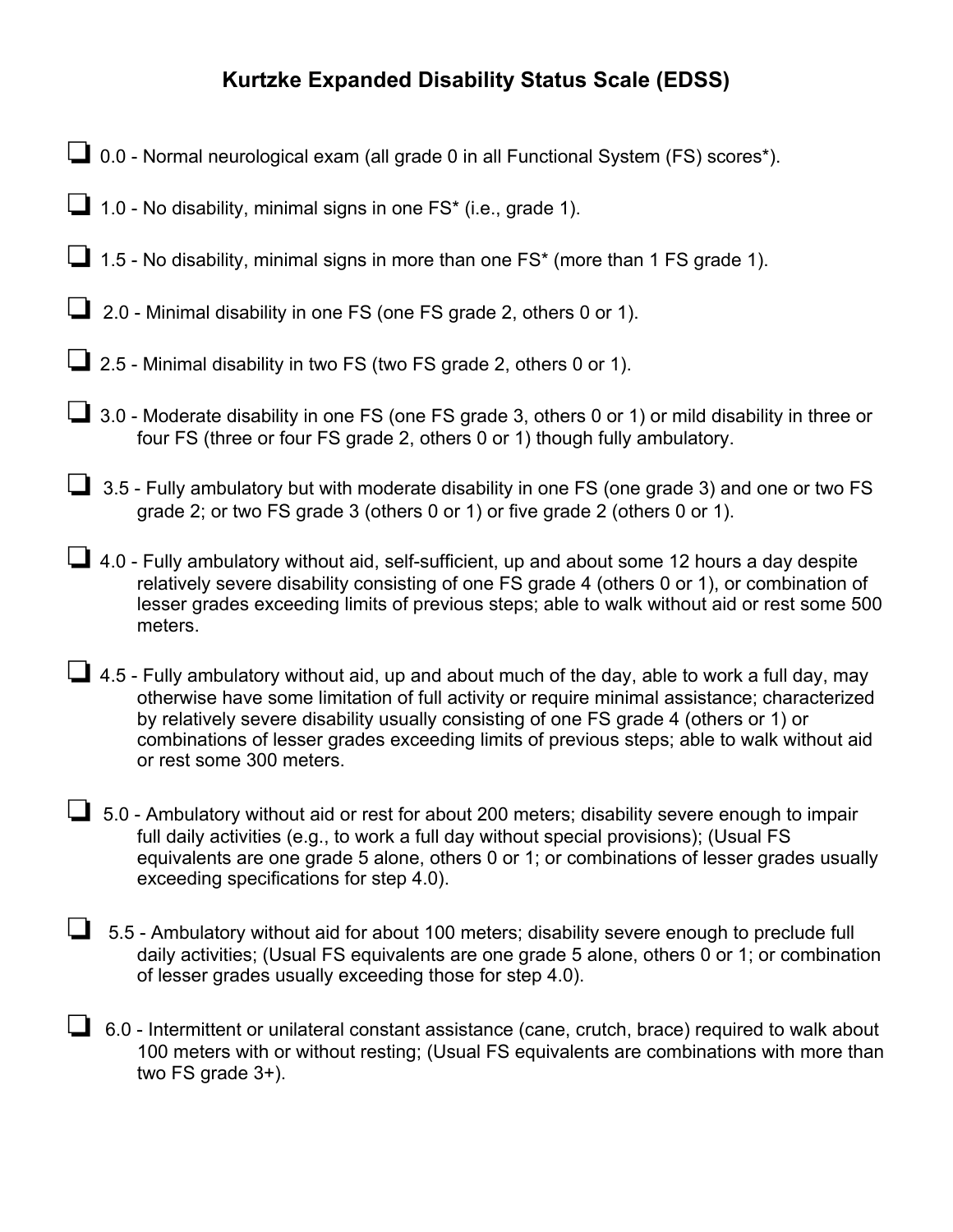## **Kurtzke Expanded Disability Status Scale (EDSS)**

- ❏0.0 Normal neurological exam (all grade 0 in all Functional System (FS) scores\*).
- ❏1.0 No disability, minimal signs in one FS\* (i.e., grade 1).
- ❏1.5 No disability, minimal signs in more than one FS\* (more than 1 FS grade 1).
- ❏ 2.0 Minimal disability in one FS (one FS grade 2, others 0 or 1).
- ❏2.5 Minimal disability in two FS (two FS grade 2, others 0 or 1).
- ❏3.0 Moderate disability in one FS (one FS grade 3, others 0 or 1) or mild disability in three or four FS (three or four FS grade 2, others 0 or 1) though fully ambulatory.
- ❏ 3.5 Fully ambulatory but with moderate disability in one FS (one grade 3) and one or two FS grade 2; or two FS grade 3 (others 0 or 1) or five grade 2 (others 0 or 1).
- ❏4.0 Fully ambulatory without aid, self-sufficient, up and about some 12 hours a day despite relatively severe disability consisting of one FS grade 4 (others 0 or 1), or combination of lesser grades exceeding limits of previous steps; able to walk without aid or rest some 500 meters.
- ❏4.5 Fully ambulatory without aid, up and about much of the day, able to work a full day, may otherwise have some limitation of full activity or require minimal assistance; characterized by relatively severe disability usually consisting of one FS grade 4 (others or 1) or combinations of lesser grades exceeding limits of previous steps; able to walk without aid or rest some 300 meters.
- ❏ 5.0 Ambulatory without aid or rest for about 200 meters; disability severe enough to impair full daily activities (e.g., to work a full day without special provisions); (Usual FS equivalents are one grade 5 alone, others 0 or 1; or combinations of lesser grades usually exceeding specifications for step 4.0).
- ❏ 5.5 Ambulatory without aid for about 100 meters; disability severe enough to preclude full daily activities; (Usual FS equivalents are one grade 5 alone, others 0 or 1; or combination of lesser grades usually exceeding those for step 4.0).
- ❏6.0 Intermittent or unilateral constant assistance (cane, crutch, brace) required to walk about 100 meters with or without resting; (Usual FS equivalents are combinations with more than two FS grade 3+).